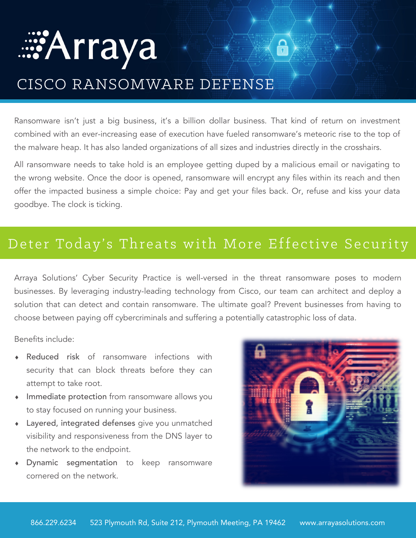# *es* Arraya  $\bigcap$ CISCO RANSOMWARE DEFENSE

Ransomware isn't just a big business, it's a billion dollar business. That kind of return on investment combined with an ever-increasing ease of execution have fueled ransomware's meteoric rise to the top of the malware heap. It has also landed organizations of all sizes and industries directly in the crosshairs.

All ransomware needs to take hold is an employee getting duped by a malicious email or navigating to the wrong website. Once the door is opened, ransomware will encrypt any files within its reach and then offer the impacted business a simple choice: Pay and get your files back. Or, refuse and kiss your data goodbye. The clock is ticking.

## Deter Today's Threats with More Effective Security

Arraya Solutions' Cyber Security Practice is well-versed in the threat ransomware poses to modern businesses. By leveraging industry-leading technology from Cisco, our team can architect and deploy a solution that can detect and contain ransomware. The ultimate goal? Prevent businesses from having to choose between paying off cybercriminals and suffering a potentially catastrophic loss of data.

Benefits include:

- Reduced risk of ransomware infections with security that can block threats before they can attempt to take root.
- Immediate protection from ransomware allows you to stay focused on running your business.
- Layered, integrated defenses give you unmatched visibility and responsiveness from the DNS layer to the network to the endpoint.
- Dynamic segmentation to keep ransomware cornered on the network.